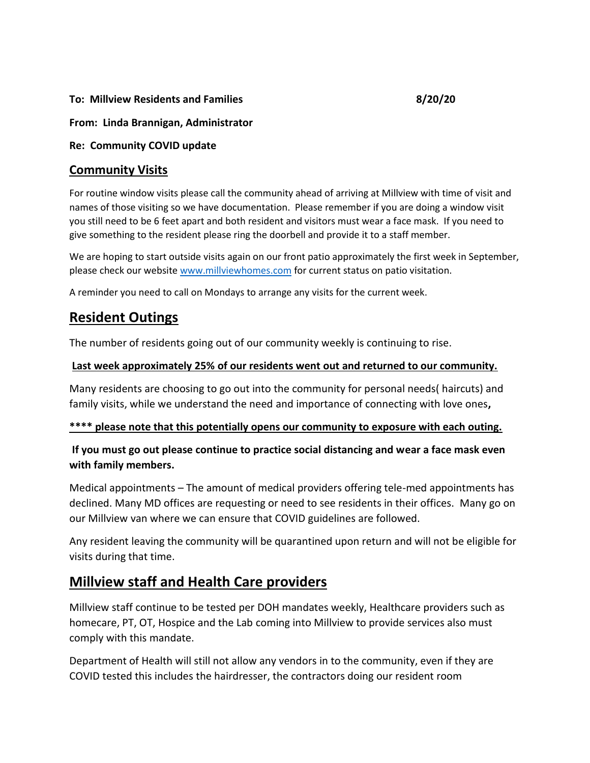#### **To: Millview Residents and Families 8/20/20**

#### **From: Linda Brannigan, Administrator**

#### **Re: Community COVID update**

### **Community Visits**

For routine window visits please call the community ahead of arriving at Millview with time of visit and names of those visiting so we have documentation. Please remember if you are doing a window visit you still need to be 6 feet apart and both resident and visitors must wear a face mask. If you need to give something to the resident please ring the doorbell and provide it to a staff member.

We are hoping to start outside visits again on our front patio approximately the first week in September, please check our website [www.millviewhomes.com](http://www.millviewhomes.com/) for current status on patio visitation.

A reminder you need to call on Mondays to arrange any visits for the current week.

# **Resident Outings**

The number of residents going out of our community weekly is continuing to rise.

#### **Last week approximately 25% of our residents went out and returned to our community.**

Many residents are choosing to go out into the community for personal needs( haircuts) and family visits, while we understand the need and importance of connecting with love ones**,** 

#### **\*\*\*\* please note that this potentially opens our community to exposure with each outing.**

### **If you must go out please continue to practice social distancing and wear a face mask even with family members.**

Medical appointments – The amount of medical providers offering tele-med appointments has declined. Many MD offices are requesting or need to see residents in their offices. Many go on our Millview van where we can ensure that COVID guidelines are followed.

Any resident leaving the community will be quarantined upon return and will not be eligible for visits during that time.

# **Millview staff and Health Care providers**

Millview staff continue to be tested per DOH mandates weekly, Healthcare providers such as homecare, PT, OT, Hospice and the Lab coming into Millview to provide services also must comply with this mandate.

Department of Health will still not allow any vendors in to the community, even if they are COVID tested this includes the hairdresser, the contractors doing our resident room